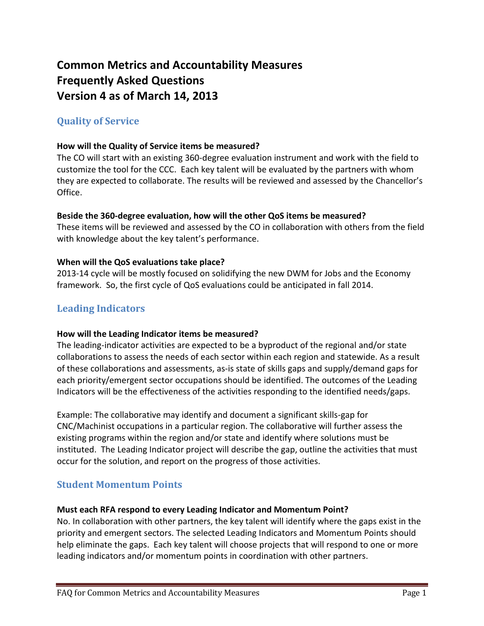# **Common Metrics and Accountability Measures Frequently Asked Questions Version 4 as of March 14, 2013**

# **Quality of Service**

### **How will the Quality of Service items be measured?**

The CO will start with an existing 360-degree evaluation instrument and work with the field to customize the tool for the CCC. Each key talent will be evaluated by the partners with whom they are expected to collaborate. The results will be reviewed and assessed by the Chancellor's Office.

### **Beside the 360-degree evaluation, how will the other QoS items be measured?**

These items will be reviewed and assessed by the CO in collaboration with others from the field with knowledge about the key talent's performance.

#### **When will the QoS evaluations take place?**

2013-14 cycle will be mostly focused on solidifying the new DWM for Jobs and the Economy framework. So, the first cycle of QoS evaluations could be anticipated in fall 2014.

# **Leading Indicators**

#### **How will the Leading Indicator items be measured?**

The leading-indicator activities are expected to be a byproduct of the regional and/or state collaborations to assess the needs of each sector within each region and statewide. As a result of these collaborations and assessments, as-is state of skills gaps and supply/demand gaps for each priority/emergent sector occupations should be identified. The outcomes of the Leading Indicators will be the effectiveness of the activities responding to the identified needs/gaps.

Example: The collaborative may identify and document a significant skills-gap for CNC/Machinist occupations in a particular region. The collaborative will further assess the existing programs within the region and/or state and identify where solutions must be instituted. The Leading Indicator project will describe the gap, outline the activities that must occur for the solution, and report on the progress of those activities.

# **Student Momentum Points**

#### **Must each RFA respond to every Leading Indicator and Momentum Point?**

No. In collaboration with other partners, the key talent will identify where the gaps exist in the priority and emergent sectors. The selected Leading Indicators and Momentum Points should help eliminate the gaps. Each key talent will choose projects that will respond to one or more leading indicators and/or momentum points in coordination with other partners.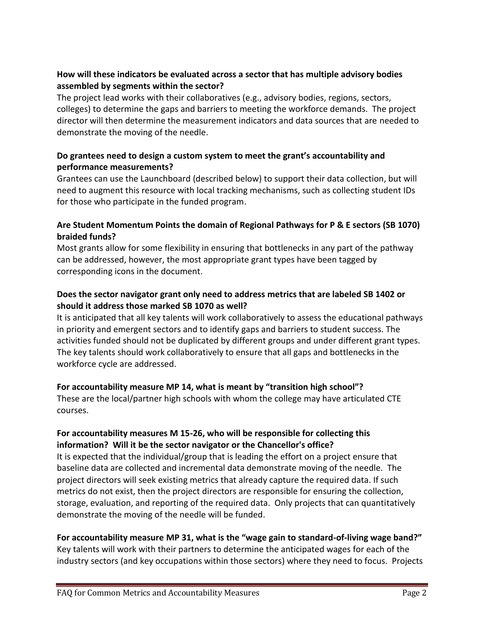# **How will these indicators be evaluated across a sector that has multiple advisory bodies assembled by segments within the sector?**

The project lead works with their collaboratives (e.g., advisory bodies, regions, sectors, colleges) to determine the gaps and barriers to meeting the workforce demands. The project director will then determine the measurement indicators and data sources that are needed to demonstrate the moving of the needle.

# **Do grantees need to design a custom system to meet the grant's accountability and performance measurements?**

Grantees can use the Launchboard (described below) to support their data collection, but will need to augment this resource with local tracking mechanisms, such as collecting student IDs for those who participate in the funded program.

### **Are Student Momentum Points the domain of Regional Pathways for P & E sectors (SB 1070) braided funds?**

Most grants allow for some flexibility in ensuring that bottlenecks in any part of the pathway can be addressed, however, the most appropriate grant types have been tagged by corresponding icons in the document.

### **Does the sector navigator grant only need to address metrics that are labeled SB 1402 or should it address those marked SB 1070 as well?**

It is anticipated that all key talents will work collaboratively to assess the educational pathways in priority and emergent sectors and to identify gaps and barriers to student success. The activities funded should not be duplicated by different groups and under different grant types. The key talents should work collaboratively to ensure that all gaps and bottlenecks in the workforce cycle are addressed.

### **For accountability measure MP 14, what is meant by "transition high school"?**

These are the local/partner high schools with whom the college may have articulated CTE courses.

# **For accountability measures M 15-26, who will be responsible for collecting this information? Will it be the sector navigator or the Chancellor's office?**

It is expected that the individual/group that is leading the effort on a project ensure that baseline data are collected and incremental data demonstrate moving of the needle. The project directors will seek existing metrics that already capture the required data. If such metrics do not exist, then the project directors are responsible for ensuring the collection, storage, evaluation, and reporting of the required data. Only projects that can quantitatively demonstrate the moving of the needle will be funded.

### **For accountability measure MP 31, what is the "wage gain to standard-of-living wage band?"**

Key talents will work with their partners to determine the anticipated wages for each of the industry sectors (and key occupations within those sectors) where they need to focus. Projects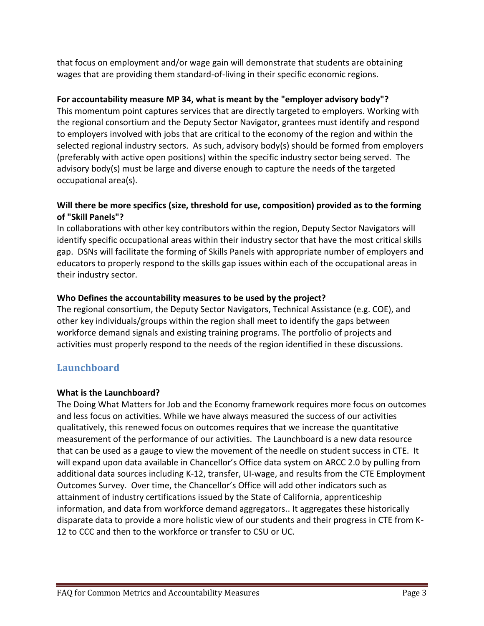that focus on employment and/or wage gain will demonstrate that students are obtaining wages that are providing them standard-of-living in their specific economic regions.

# **For accountability measure MP 34, what is meant by the "employer advisory body"?**

This momentum point captures services that are directly targeted to employers. Working with the regional consortium and the Deputy Sector Navigator, grantees must identify and respond to employers involved with jobs that are critical to the economy of the region and within the selected regional industry sectors. As such, advisory body(s) should be formed from employers (preferably with active open positions) within the specific industry sector being served. The advisory body(s) must be large and diverse enough to capture the needs of the targeted occupational area(s).

# **Will there be more specifics (size, threshold for use, composition) provided as to the forming of "Skill Panels"?**

In collaborations with other key contributors within the region, Deputy Sector Navigators will identify specific occupational areas within their industry sector that have the most critical skills gap. DSNs will facilitate the forming of Skills Panels with appropriate number of employers and educators to properly respond to the skills gap issues within each of the occupational areas in their industry sector.

# **Who Defines the accountability measures to be used by the project?**

The regional consortium, the Deputy Sector Navigators, Technical Assistance (e.g. COE), and other key individuals/groups within the region shall meet to identify the gaps between workforce demand signals and existing training programs. The portfolio of projects and activities must properly respond to the needs of the region identified in these discussions.

# **Launchboard**

### **What is the Launchboard?**

The Doing What Matters for Job and the Economy framework requires more focus on outcomes and less focus on activities. While we have always measured the success of our activities qualitatively, this renewed focus on outcomes requires that we increase the quantitative measurement of the performance of our activities. The Launchboard is a new data resource that can be used as a gauge to view the movement of the needle on student success in CTE. It will expand upon data available in Chancellor's Office data system on ARCC 2.0 by pulling from additional data sources including K-12, transfer, UI-wage, and results from the CTE Employment Outcomes Survey. Over time, the Chancellor's Office will add other indicators such as attainment of industry certifications issued by the State of California, apprenticeship information, and data from workforce demand aggregators.. It aggregates these historically disparate data to provide a more holistic view of our students and their progress in CTE from K-12 to CCC and then to the workforce or transfer to CSU or UC.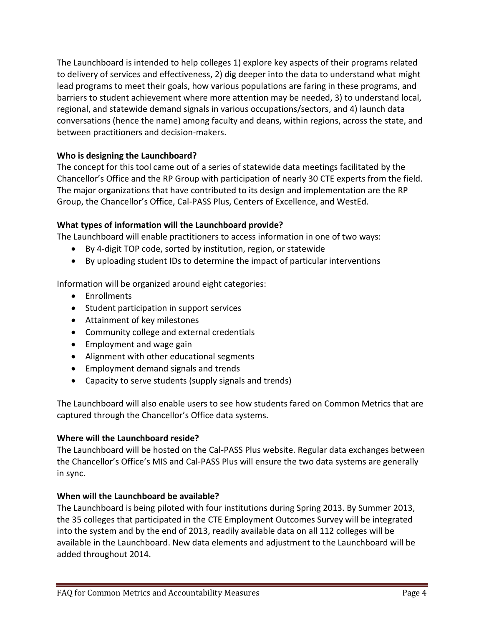The Launchboard is intended to help colleges 1) explore key aspects of their programs related to delivery of services and effectiveness, 2) dig deeper into the data to understand what might lead programs to meet their goals, how various populations are faring in these programs, and barriers to student achievement where more attention may be needed, 3) to understand local, regional, and statewide demand signals in various occupations/sectors, and 4) launch data conversations (hence the name) among faculty and deans, within regions, across the state, and between practitioners and decision-makers.

### **Who is designing the Launchboard?**

The concept for this tool came out of a series of statewide data meetings facilitated by the Chancellor's Office and the RP Group with participation of nearly 30 CTE experts from the field. The major organizations that have contributed to its design and implementation are the RP Group, the Chancellor's Office, Cal-PASS Plus, Centers of Excellence, and WestEd.

# **What types of information will the Launchboard provide?**

The Launchboard will enable practitioners to access information in one of two ways:

- By 4-digit TOP code, sorted by institution, region, or statewide
- By uploading student IDs to determine the impact of particular interventions

Information will be organized around eight categories:

- Enrollments
- Student participation in support services
- Attainment of key milestones
- Community college and external credentials
- $\bullet$  Employment and wage gain
- Alignment with other educational segments
- Employment demand signals and trends
- Capacity to serve students (supply signals and trends)

The Launchboard will also enable users to see how students fared on Common Metrics that are captured through the Chancellor's Office data systems.

### **Where will the Launchboard reside?**

The Launchboard will be hosted on the Cal-PASS Plus website. Regular data exchanges between the Chancellor's Office's MIS and Cal-PASS Plus will ensure the two data systems are generally in sync.

### **When will the Launchboard be available?**

The Launchboard is being piloted with four institutions during Spring 2013. By Summer 2013, the 35 colleges that participated in the CTE Employment Outcomes Survey will be integrated into the system and by the end of 2013, readily available data on all 112 colleges will be available in the Launchboard. New data elements and adjustment to the Launchboard will be added throughout 2014.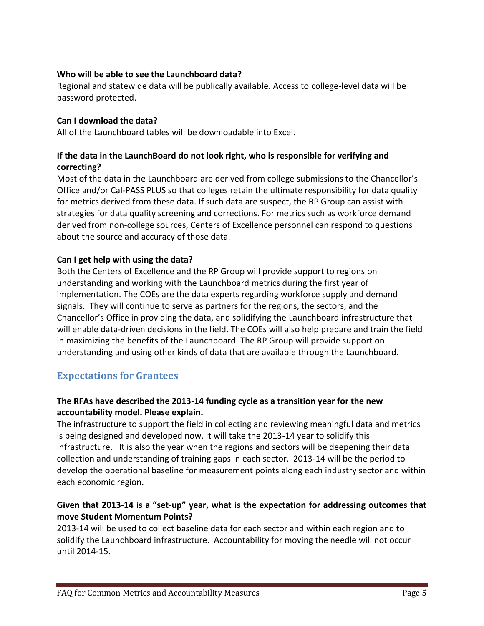### **Who will be able to see the Launchboard data?**

Regional and statewide data will be publically available. Access to college-level data will be password protected.

### **Can I download the data?**

All of the Launchboard tables will be downloadable into Excel.

# **If the data in the LaunchBoard do not look right, who is responsible for verifying and correcting?**

Most of the data in the Launchboard are derived from college submissions to the Chancellor's Office and/or Cal-PASS PLUS so that colleges retain the ultimate responsibility for data quality for metrics derived from these data. If such data are suspect, the RP Group can assist with strategies for data quality screening and corrections. For metrics such as workforce demand derived from non-college sources, Centers of Excellence personnel can respond to questions about the source and accuracy of those data.

### **Can I get help with using the data?**

Both the Centers of Excellence and the RP Group will provide support to regions on understanding and working with the Launchboard metrics during the first year of implementation. The COEs are the data experts regarding workforce supply and demand signals. They will continue to serve as partners for the regions, the sectors, and the Chancellor's Office in providing the data, and solidifying the Launchboard infrastructure that will enable data-driven decisions in the field. The COEs will also help prepare and train the field in maximizing the benefits of the Launchboard. The RP Group will provide support on understanding and using other kinds of data that are available through the Launchboard.

# **Expectations for Grantees**

# **The RFAs have described the 2013-14 funding cycle as a transition year for the new accountability model. Please explain.**

The infrastructure to support the field in collecting and reviewing meaningful data and metrics is being designed and developed now. It will take the 2013-14 year to solidify this infrastructure. It is also the year when the regions and sectors will be deepening their data collection and understanding of training gaps in each sector. 2013-14 will be the period to develop the operational baseline for measurement points along each industry sector and within each economic region.

# **Given that 2013-14 is a "set-up" year, what is the expectation for addressing outcomes that move Student Momentum Points?**

2013-14 will be used to collect baseline data for each sector and within each region and to solidify the Launchboard infrastructure. Accountability for moving the needle will not occur until 2014-15.